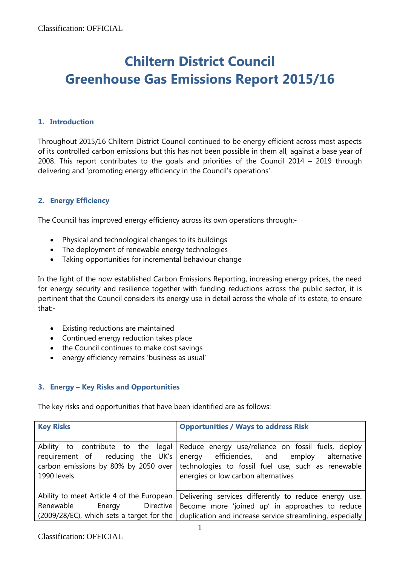# **Chiltern District Council Greenhouse Gas Emissions Report 2015/16**

## **1. Introduction**

Throughout 2015/16 Chiltern District Council continued to be energy efficient across most aspects of its controlled carbon emissions but this has not been possible in them all, against a base year of 2008. This report contributes to the goals and priorities of the Council 2014 – 2019 through delivering and 'promoting energy efficiency in the Council's operations'.

# **2. Energy Efficiency**

The Council has improved energy efficiency across its own operations through:-

- Physical and technological changes to its buildings
- The deployment of renewable energy technologies
- Taking opportunities for incremental behaviour change

In the light of the now established Carbon Emissions Reporting, increasing energy prices, the need for energy security and resilience together with funding reductions across the public sector, it is pertinent that the Council considers its energy use in detail across the whole of its estate, to ensure that:-

- Existing reductions are maintained
- Continued energy reduction takes place
- the Council continues to make cost savings
- energy efficiency remains 'business as usual'

# **3. Energy – Key Risks and Opportunities**

The key risks and opportunities that have been identified are as follows:-

| <b>Key Risks</b>                                                                                                                 | <b>Opportunities / Ways to address Risk</b>                                                                                                                                                       |  |  |  |  |  |
|----------------------------------------------------------------------------------------------------------------------------------|---------------------------------------------------------------------------------------------------------------------------------------------------------------------------------------------------|--|--|--|--|--|
| Ability to contribute to the legal<br>reducing the UK's<br>requirement of<br>carbon emissions by 80% by 2050 over<br>1990 levels | Reduce energy use/reliance on fossil fuels, deploy<br>energy efficiencies, and employ<br>alternative<br>technologies to fossil fuel use, such as renewable<br>energies or low carbon alternatives |  |  |  |  |  |
| Ability to meet Article 4 of the European                                                                                        | Delivering services differently to reduce energy use.                                                                                                                                             |  |  |  |  |  |
| Directive  <br>Renewable<br>Energy                                                                                               | Become more 'joined up' in approaches to reduce                                                                                                                                                   |  |  |  |  |  |
| $(2009/28/EC)$ , which sets a target for the                                                                                     | duplication and increase service streamlining, especially                                                                                                                                         |  |  |  |  |  |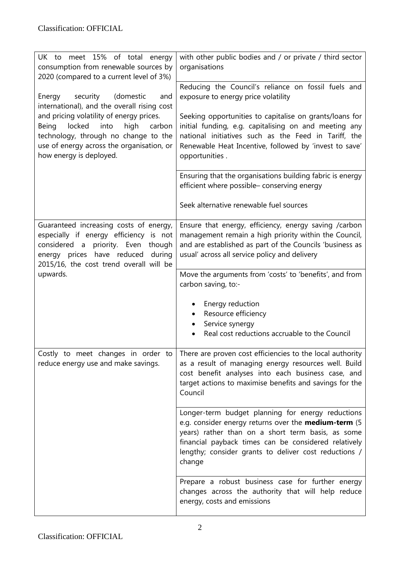| UK to meet 15% of total energy<br>consumption from renewable sources by<br>2020 (compared to a current level of 3%)                                                                                                         | with other public bodies and / or private / third sector<br>organisations                                                                                                                                                                                                                        |  |  |  |  |
|-----------------------------------------------------------------------------------------------------------------------------------------------------------------------------------------------------------------------------|--------------------------------------------------------------------------------------------------------------------------------------------------------------------------------------------------------------------------------------------------------------------------------------------------|--|--|--|--|
| security<br>(domestic<br>Energy<br>and<br>international), and the overall rising cost                                                                                                                                       | Reducing the Council's reliance on fossil fuels and<br>exposure to energy price volatility                                                                                                                                                                                                       |  |  |  |  |
| and pricing volatility of energy prices.<br>Being<br>locked<br>into<br>high<br>carbon<br>technology, through no change to the<br>use of energy across the organisation, or<br>how energy is deployed.                       | Seeking opportunities to capitalise on grants/loans for<br>initial funding, e.g. capitalising on and meeting any<br>national initiatives such as the Feed in Tariff, the<br>Renewable Heat Incentive, followed by 'invest to save'<br>opportunities.                                             |  |  |  |  |
|                                                                                                                                                                                                                             | Ensuring that the organisations building fabric is energy<br>efficient where possible- conserving energy                                                                                                                                                                                         |  |  |  |  |
|                                                                                                                                                                                                                             | Seek alternative renewable fuel sources                                                                                                                                                                                                                                                          |  |  |  |  |
| Guaranteed increasing costs of energy,<br>especially if energy efficiency is not<br>priority. Even<br>considered a<br>though<br>energy prices have reduced<br>during<br>2015/16, the cost trend overall will be<br>upwards. | Ensure that energy, efficiency, energy saving /carbon<br>management remain a high priority within the Council,<br>and are established as part of the Councils 'business as<br>usual' across all service policy and delivery                                                                      |  |  |  |  |
|                                                                                                                                                                                                                             | Move the arguments from 'costs' to 'benefits', and from<br>carbon saving, to:-                                                                                                                                                                                                                   |  |  |  |  |
|                                                                                                                                                                                                                             | Energy reduction<br>Resource efficiency                                                                                                                                                                                                                                                          |  |  |  |  |
|                                                                                                                                                                                                                             | Service synergy<br>Real cost reductions accruable to the Council                                                                                                                                                                                                                                 |  |  |  |  |
| Costly to meet changes in order to<br>reduce energy use and make savings.                                                                                                                                                   | There are proven cost efficiencies to the local authority<br>as a result of managing energy resources well. Build<br>cost benefit analyses into each business case, and<br>target actions to maximise benefits and savings for the<br>Council                                                    |  |  |  |  |
|                                                                                                                                                                                                                             | Longer-term budget planning for energy reductions<br>e.g. consider energy returns over the <b>medium-term</b> (5<br>years) rather than on a short term basis, as some<br>financial payback times can be considered relatively<br>lengthy; consider grants to deliver cost reductions /<br>change |  |  |  |  |
|                                                                                                                                                                                                                             | Prepare a robust business case for further energy<br>changes across the authority that will help reduce<br>energy, costs and emissions                                                                                                                                                           |  |  |  |  |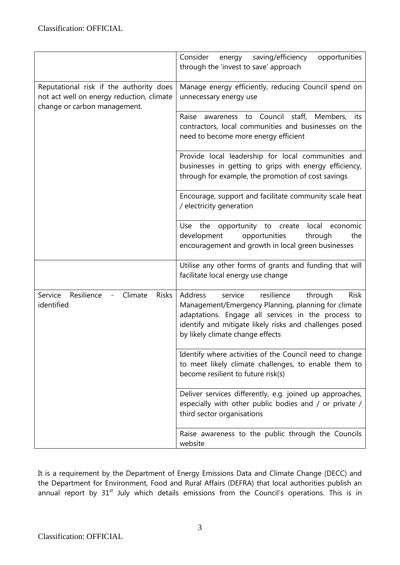|                                                                                                                      | Consider<br>saving/efficiency<br>opportunities<br>energy<br>through the 'invest to save' approach                                                                                                                                                                      |  |  |  |  |
|----------------------------------------------------------------------------------------------------------------------|------------------------------------------------------------------------------------------------------------------------------------------------------------------------------------------------------------------------------------------------------------------------|--|--|--|--|
| Reputational risk if the authority does<br>not act well on energy reduction, climate<br>change or carbon management. | Manage energy efficiently, reducing Council spend on<br>unnecessary energy use                                                                                                                                                                                         |  |  |  |  |
|                                                                                                                      | awareness to Council staff, Members,<br>Raise<br>its.<br>contractors, local communities and businesses on the<br>need to become more energy efficient                                                                                                                  |  |  |  |  |
|                                                                                                                      | Provide local leadership for local communities and<br>businesses in getting to grips with energy efficiency,<br>through for example, the promotion of cost savings                                                                                                     |  |  |  |  |
|                                                                                                                      | Encourage, support and facilitate community scale heat<br>/ electricity generation                                                                                                                                                                                     |  |  |  |  |
|                                                                                                                      | Use the opportunity to create<br>local economic<br>development<br>opportunities<br>through<br>the<br>encouragement and growth in local green businesses                                                                                                                |  |  |  |  |
|                                                                                                                      | Utilise any other forms of grants and funding that will<br>facilitate local energy use change                                                                                                                                                                          |  |  |  |  |
| Service<br>Resilience<br>Climate<br><b>Risks</b><br>identified                                                       | Address<br>service<br>resilience<br>through<br><b>Risk</b><br>Management/Emergency Planning, planning for climate<br>adaptations. Engage all services in the process to<br>identify and mitigate likely risks and challenges posed<br>by likely climate change effects |  |  |  |  |
|                                                                                                                      | Identify where activities of the Council need to change<br>to meet likely climate challenges, to enable them to<br>become resilient to future risk(s)                                                                                                                  |  |  |  |  |
|                                                                                                                      | Deliver services differently, e.g. joined up approaches,<br>especially with other public bodies and / or private /<br>third sector organisations                                                                                                                       |  |  |  |  |
|                                                                                                                      | Raise awareness to the public through the Councils<br>website                                                                                                                                                                                                          |  |  |  |  |

It is a requirement by the Department of Energy Emissions Data and Climate Change (DECC) and the Department for Environment, Food and Rural Affairs (DEFRA) that local authorities publish an annual report by  $31^{st}$  July which details emissions from the Council's operations. This is in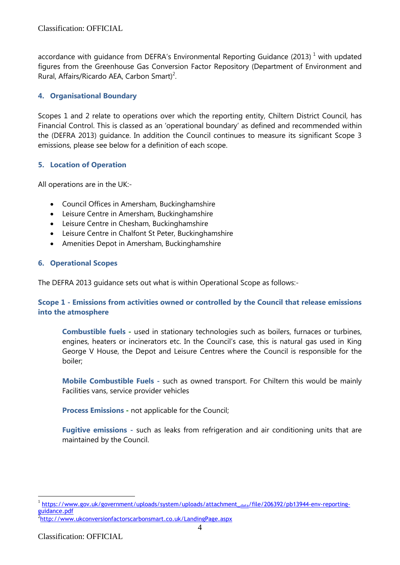accordance with guidance from DEFRA's Environmental Reporting Guidance (2013)<sup>1</sup> with updated figures from the Greenhouse Gas Conversion Factor Repository (Department of Environment and Rural, Affairs/Ricardo AEA, Carbon Smart)<sup>2</sup>.

# **4. Organisational Boundary**

Scopes 1 and 2 relate to operations over which the reporting entity, Chiltern District Council, has Financial Control. This is classed as an 'operational boundary' as defined and recommended within the (DEFRA 2013) guidance. In addition the Council continues to measure its significant Scope 3 emissions, please see below for a definition of each scope.

# **5. Location of Operation**

All operations are in the UK:-

- Council Offices in Amersham, Buckinghamshire
- Leisure Centre in Amersham, Buckinghamshire
- Leisure Centre in Chesham, Buckinghamshire
- Leisure Centre in Chalfont St Peter, Buckinghamshire
- Amenities Depot in Amersham, Buckinghamshire

# **6. Operational Scopes**

The DEFRA 2013 guidance sets out what is within Operational Scope as follows:-

## **Scope 1 - Emissions from activities owned or controlled by the Council that release emissions into the atmosphere**

**Combustible fuels -** used in stationary technologies such as boilers, furnaces or turbines, engines, heaters or incinerators etc. In the Council's case, this is natural gas used in King George V House, the Depot and Leisure Centres where the Council is responsible for the boiler;

**Mobile Combustible Fuels -** such as owned transport. For Chiltern this would be mainly Facilities vans, service provider vehicles

**Process Emissions -** not applicable for the Council;

**Fugitive emissions** - such as leaks from refrigeration and air conditioning units that are maintained by the Council.

<u>.</u>

<sup>1</sup> [https://www.gov.uk/government/uploads/system/uploads/attachment\\_](https://www.gov.uk/government/uploads/system/uploads/attachment_data/file/206392/pb13944-env-reporting-guidance.pdf)data/file/206392/pb13944-env-reporting[guidance.pdf](https://www.gov.uk/government/uploads/system/uploads/attachment_data/file/206392/pb13944-env-reporting-guidance.pdf)

<sup>&</sup>lt;sup>2</sup><http://www.ukconversionfactorscarbonsmart.co.uk/LandingPage.aspx>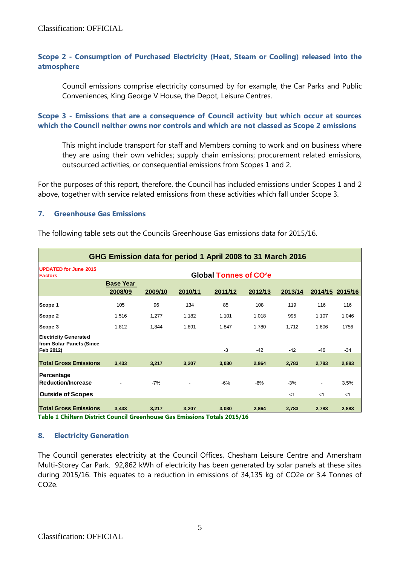Classification: OFFICIAL

## **Scope 2 - Consumption of Purchased Electricity (Heat, Steam or Cooling) released into the atmosphere**

Council emissions comprise electricity consumed by for example, the Car Parks and Public Conveniences, King George V House, the Depot, Leisure Centres.

#### **Scope 3 - Emissions that are a consequence of Council activity but which occur at sources which the Council neither owns nor controls and which are not classed as Scope 2 emissions**

This might include transport for staff and Members coming to work and on business where they are using their own vehicles; supply chain emissions; procurement related emissions, outsourced activities, or consequential emissions from Scopes 1 and 2.

For the purposes of this report, therefore, the Council has included emissions under Scopes 1 and 2 above, together with service related emissions from these activities which fall under Scope 3.

#### **7. Greenhouse Gas Emissions**

| GHG Emission data for period 1 April 2008 to 31 March 2016            |                                    |         |         |         |         |                |                         |                 |  |  |  |
|-----------------------------------------------------------------------|------------------------------------|---------|---------|---------|---------|----------------|-------------------------|-----------------|--|--|--|
| <b>UPDATED for June 2015</b><br><b>Factors</b>                        | Global Tonnes of CO <sup>2</sup> e |         |         |         |         |                |                         |                 |  |  |  |
|                                                                       | <b>Base Year</b><br>2008/09        | 2009/10 | 2010/11 | 2011/12 | 2012/13 | 2013/14        |                         | 2014/15 2015/16 |  |  |  |
| Scope 1                                                               | 105                                | 96      | 134     | 85      | 108     | 119            | 116                     | 116             |  |  |  |
| Scope 2                                                               | 1,516                              | 1,277   | 1,182   | 1,101   | 1,018   | 995            | 1,107                   | 1,046           |  |  |  |
| Scope 3                                                               | 1,812                              | 1,844   | 1,891   | 1,847   | 1,780   | 1,712          | 1,606                   | 1756            |  |  |  |
| <b>Electricity Generated</b><br>from Solar Panels (Since<br>Feb 2012) |                                    |         |         | $-3$    | $-42$   | $-42$          | $-46$                   | $-34$           |  |  |  |
| <b>Total Gross Emissions</b>                                          | 3,433                              | 3,217   | 3,207   | 3,030   | 2,864   | 2,783          | 2,783                   | 2,883           |  |  |  |
| Percentage<br><b>Reduction/Increase</b><br><b>Outside of Scopes</b>   |                                    | $-7%$   |         | $-6%$   | $-6%$   | $-3%$<br>$<$ 1 | $\blacksquare$<br>$<$ 1 | 3.5%<br>$<$ 1   |  |  |  |
| <b>Total Gross Emissions</b>                                          | 3,433                              | 3.217   | 3,207   | 3,030   | 2.864   | 2,783          | 2,783                   | 2,883           |  |  |  |

The following table sets out the Councils Greenhouse Gas emissions data for 2015/16.

**Table 1 Chiltern District Council Greenhouse Gas Emissions Totals 2015/16**

### **8. Electricity Generation**

The Council generates electricity at the Council Offices, Chesham Leisure Centre and Amersham Multi-Storey Car Park. 92,862 kWh of electricity has been generated by solar panels at these sites during 2015/16. This equates to a reduction in emissions of 34,135 kg of CO2e or 3.4 Tonnes of CO2e.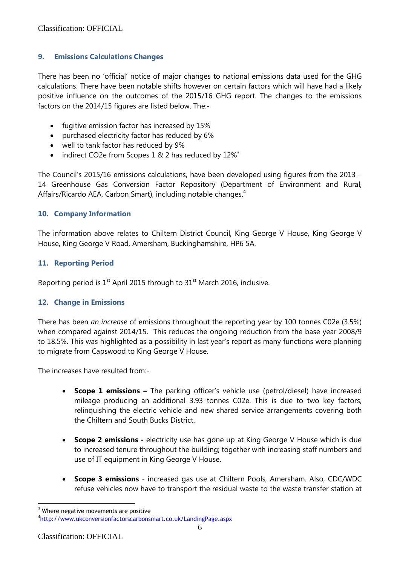Classification: OFFICIAL

## **9. Emissions Calculations Changes**

There has been no 'official' notice of major changes to national emissions data used for the GHG calculations. There have been notable shifts however on certain factors which will have had a likely positive influence on the outcomes of the 2015/16 GHG report. The changes to the emissions factors on the 2014/15 figures are listed below. The:-

- fugitive emission factor has increased by 15%
- purchased electricity factor has reduced by 6%
- well to tank factor has reduced by 9%
- indirect CO2e from Scopes 1 & 2 has reduced by  $12\%$ <sup>3</sup>

The Council's 2015/16 emissions calculations, have been developed using figures from the 2013 – 14 Greenhouse Gas Conversion Factor Repository (Department of Environment and Rural, Affairs/Ricardo AEA, Carbon Smart), including notable changes.<sup>4</sup>

### **10. Company Information**

The information above relates to Chiltern District Council, King George V House, King George V House, King George V Road, Amersham, Buckinghamshire, HP6 5A.

## **11. Reporting Period**

Reporting period is  $1<sup>st</sup>$  April 2015 through to  $31<sup>st</sup>$  March 2016, inclusive.

### **12. Change in Emissions**

There has been *an increase* of emissions throughout the reporting year by 100 tonnes C02e (3.5%) when compared against 2014/15. This reduces the ongoing reduction from the base year 2008/9 to 18.5%. This was highlighted as a possibility in last year's report as many functions were planning to migrate from Capswood to King George V House.

The increases have resulted from:-

- **Scope 1 emissions –** The parking officer's vehicle use (petrol/diesel) have increased mileage producing an additional 3.93 tonnes C02e. This is due to two key factors, relinquishing the electric vehicle and new shared service arrangements covering both the Chiltern and South Bucks District.
- **Scope 2 emissions -** electricity use has gone up at King George V House which is due to increased tenure throughout the building; together with increasing staff numbers and use of IT equipment in King George V House.
- **Scope 3 emissions** increased gas use at Chiltern Pools, Amersham. Also, CDC/WDC refuse vehicles now have to transport the residual waste to the waste transfer station at

1

 $3$  Where negative movements are positive

<sup>4</sup> <http://www.ukconversionfactorscarbonsmart.co.uk/LandingPage.aspx>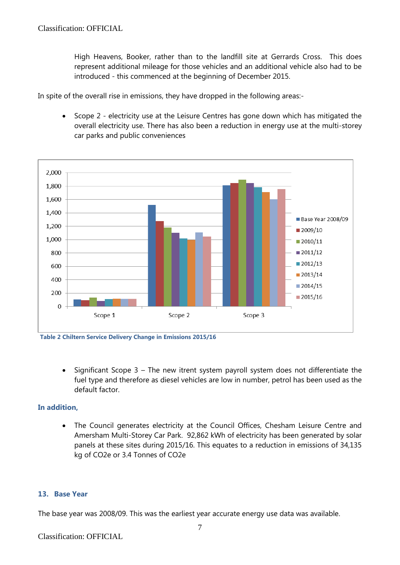High Heavens, Booker, rather than to the landfill site at Gerrards Cross. This does represent additional mileage for those vehicles and an additional vehicle also had to be introduced - this commenced at the beginning of December 2015.

In spite of the overall rise in emissions, they have dropped in the following areas:-

 Scope 2 - electricity use at the Leisure Centres has gone down which has mitigated the overall electricity use. There has also been a reduction in energy use at the multi-storey car parks and public conveniences



**Table 2 Chiltern Service Delivery Change in Emissions 2015/16**

 Significant Scope 3 – The new itrent system payroll system does not differentiate the fuel type and therefore as diesel vehicles are low in number, petrol has been used as the default factor.

#### **In addition,**

 The Council generates electricity at the Council Offices, Chesham Leisure Centre and Amersham Multi-Storey Car Park. 92,862 kWh of electricity has been generated by solar panels at these sites during 2015/16. This equates to a reduction in emissions of 34,135 kg of CO2e or 3.4 Tonnes of CO2e

#### **13. Base Year**

The base year was 2008/09. This was the earliest year accurate energy use data was available.

#### Classification: OFFICIAL